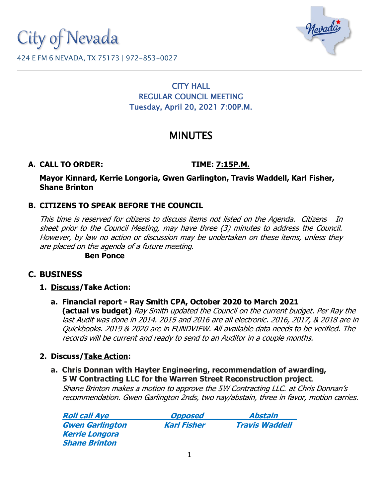City of Nevada



#### 424 E FM 6 NEVADA, TX 75173 | 972-853-0027

## CITY HALL REGULAR COUNCIL MEETING Tuesday, April 20, 2021 7:00P.M.

# MINUTES

## **A. CALL TO ORDER: TIME: 7:15P.M.**

**Mayor Kinnard, Kerrie Longoria, Gwen Garlington, Travis Waddell, Karl Fisher, Shane Brinton**

## **B. CITIZENS TO SPEAK BEFORE THE COUNCIL**

This time is reserved for citizens to discuss items not listed on the Agenda. Citizens In sheet prior to the Council Meeting, may have three (3) minutes to address the Council. However, by law no action or discussion may be undertaken on these items, unless they are placed on the agenda of a future meeting.

**Ben Ponce**

## **C. BUSINESS**

- **1. Discuss/Take Action:**
	- **a. Financial report - Ray Smith CPA, October 2020 to March 2021**

**(actual vs budget)** Ray Smith updated the Council on the current budget. Per Ray the last Audit was done in 2014. 2015 and 2016 are all electronic. 2016, 2017, & 2018 are in Quickbooks. 2019 & 2020 are in FUNDVIEW. All available data needs to be verified. The records will be current and ready to send to an Auditor in a couple months.

## **2. Discuss/Take Action:**

**a. Chris Donnan with Hayter Engineering, recommendation of awarding, 5 W Contracting LLC for the Warren Street Reconstruction project.**

Shane Brinton makes a motion to approve the 5W Contracting LLC. at Chris Donnan's recommendation. Gwen Garlington 2nds, two nay/abstain, three in favor, motion carries.

| <b>Roll call Aye</b>   | <b>Opposed</b>     | Abstain               |
|------------------------|--------------------|-----------------------|
| <b>Gwen Garlington</b> | <b>Karl Fisher</b> | <b>Travis Waddell</b> |
| <b>Kerrie Longora</b>  |                    |                       |
| <b>Shane Brinton</b>   |                    |                       |